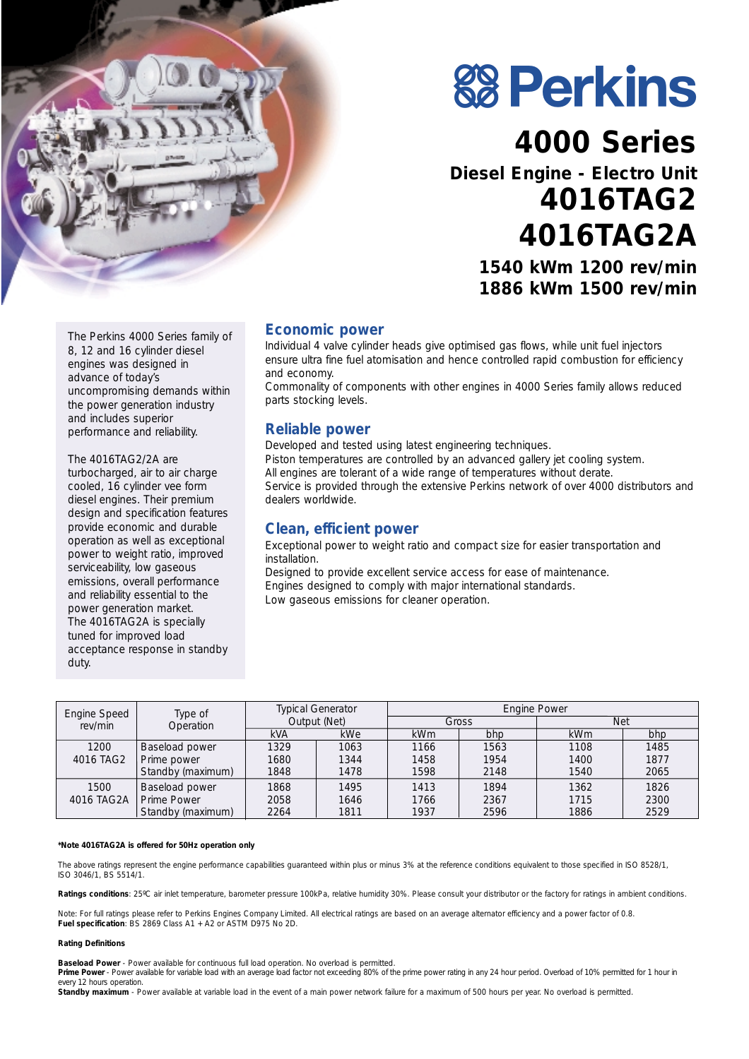

**88 Perkins** 

# **4000 Series**

## **Diesel Engine - Electro Unit 4016TAG2 4016TAG2A 1540 kWm 1200 rev/min 1886 kWm 1500 rev/min**

The Perkins 4000 Series family of 8, 12 and 16 cylinder diesel engines was designed in advance of today's uncompromising demands within the power generation industry and includes superior performance and reliability.

The 4016TAG2/2A are turbocharged, air to air charge cooled, 16 cylinder vee form diesel engines. Their premium design and specification features provide economic and durable operation as well as exceptional power to weight ratio, improved serviceability, low gaseous emissions, overall performance and reliability essential to the power generation market. The 4016TAG2A is specially tuned for improved load acceptance response in standby duty.

#### **Economic power**

Individual 4 valve cylinder heads give optimised gas flows, while unit fuel injectors ensure ultra fine fuel atomisation and hence controlled rapid combustion for efficiency and economy.

Commonality of components with other engines in 4000 Series family allows reduced parts stocking levels.

#### **Reliable power**

Developed and tested using latest engineering techniques. Piston temperatures are controlled by an advanced gallery jet cooling system. All engines are tolerant of a wide range of temperatures without derate. Service is provided through the extensive Perkins network of over 4000 distributors and dealers worldwide.

#### **Clean, efficient power**

Exceptional power to weight ratio and compact size for easier transportation and installation.

Designed to provide excellent service access for ease of maintenance. Engines designed to comply with major international standards. Low gaseous emissions for cleaner operation.

| Engine Speed | Type of<br>Operation | <b>Typical Generator</b><br>Output (Net) |      | <b>Engine Power</b> |      |            |      |
|--------------|----------------------|------------------------------------------|------|---------------------|------|------------|------|
| rev/min      |                      |                                          |      | Gross               |      | Net        |      |
|              |                      | <b>kVA</b>                               | kWe  | <b>kWm</b>          | bhp  | <b>kWm</b> | bhp  |
| 1200         | Baseload power       | 1329                                     | 1063 | 1166                | 1563 | 1108       | 1485 |
| 4016 TAG2    | Prime power          | 1680                                     | 1344 | 1458                | 1954 | 1400       | 1877 |
|              | Standby (maximum)    | 1848                                     | 1478 | 1598                | 2148 | 1540       | 2065 |
| 1500         | Baseload power       | 1868                                     | 1495 | 1413                | 1894 | 1362       | 1826 |
| 4016 TAG2A   | Prime Power          | 2058                                     | 1646 | 1766                | 2367 | 1715       | 2300 |
|              | Standby (maximum)    | 2264                                     | 1811 | 1937                | 2596 | 1886       | 2529 |

#### **\*Note 4016TAG2A is offered for 50Hz operation only**

The above ratings represent the engine performance capabilities guaranteed within plus or minus 3% at the reference conditions equivalent to those specified in ISO 8528/1, ISO 3046/1, BS 5514/1.

Ratings conditions: 25°C air inlet temperature, barometer pressure 100kPa, relative humidity 30%. Please consult your distributor or the factory for ratings in ambient conditions.

*Note:* For full ratings please refer to Perkins Engines Company Limited. All electrical ratings are based on an average alternator efficiency and a power factor of 0.8. **Fuel specification**: BS 2869 Class A1 + A2 or ASTM D975 No 2D.

#### **Rating Definitions**

**Baseload Power** - Power available for continuous full load operation. No overload is permitted.

Prime Power - Power available for variable load with an average load factor not exceeding 80% of the prime power rating in any 24 hour period. Overload of 10% permitted for 1 hour in every 12 hours operation.

Standby maximum - Power available at variable load in the event of a main power network failure for a maximum of 500 hours per year. No overload is permitted.